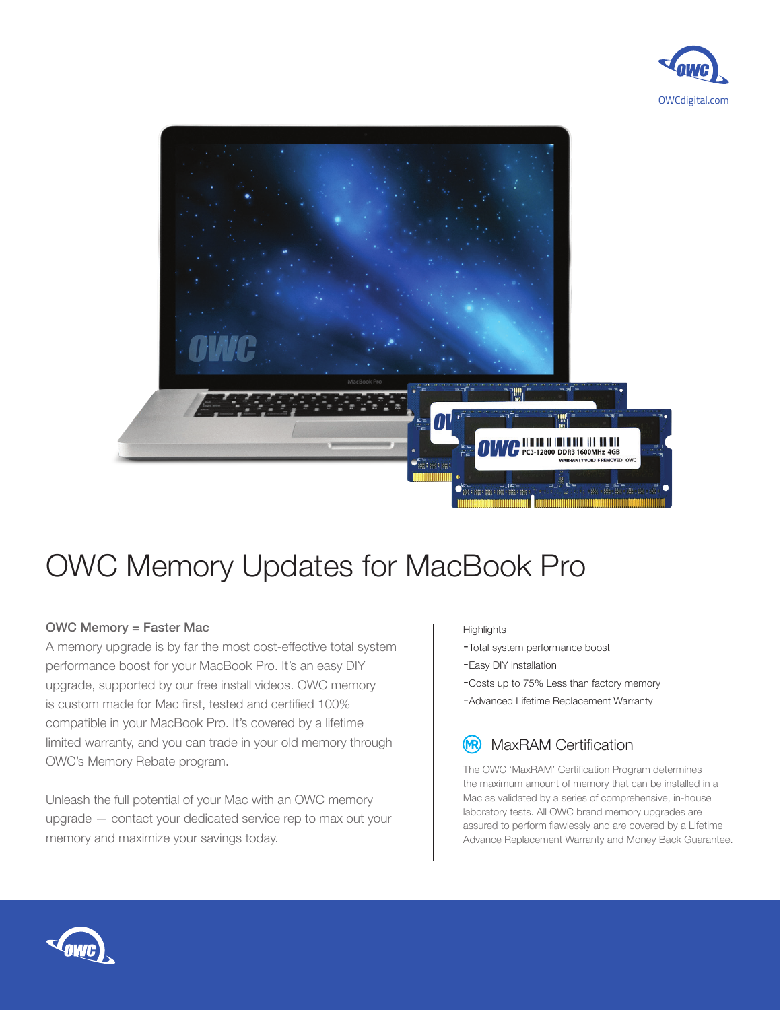



## OWC Memory Updates for MacBook Pro

## OWC Memory = Faster Mac

A memory upgrade is by far the most cost-effective total system performance boost for your MacBook Pro. It's an easy DIY upgrade, supported by our free install videos. OWC memory is custom made for Mac first, tested and certified 100% compatible in your MacBook Pro. It's covered by a lifetime limited warranty, and you can trade in your old memory through OWC's Memory Rebate program.

Unleash the full potential of your Mac with an OWC memory upgrade — contact your dedicated service rep to max out your memory and maximize your savings today.

## **Highlights**

- -Total system performance boost
- -Easy DIY installation
- -Costs up to 75% Less than factory memory
- -Advanced Lifetime Replacement Warranty

## MaxRAM Certification (MR)

The OWC 'MaxRAM' Certification Program determines the maximum amount of memory that can be installed in a Mac as validated by a series of comprehensive, in-house laboratory tests. All OWC brand memory upgrades are assured to perform flawlessly and are covered by a Lifetime Advance Replacement Warranty and Money Back Guarantee.